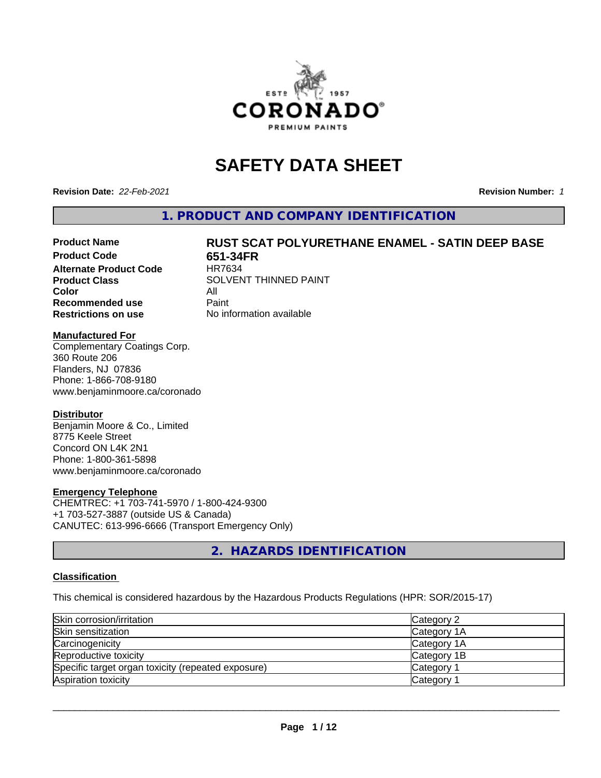

# **SAFETY DATA SHEET**

**Revision Date:** *22-Feb-2021* **Revision Number:** *1*

**1. PRODUCT AND COMPANY IDENTIFICATION**

# Product Name **RUST SCAT POLYURETHANE ENAMEL - SATIN DEEP BASE**<br>Product Code **RESESSEE**

**Alternate Product Code Color** All<br> **Recommended use** Paint **Recommended use Restrictions on use** No information available

**651-34FR**<br>HR7634 **Product Class** SOLVENT THINNED PAINT

#### **Manufactured For**

Complementary Coatings Corp. 360 Route 206 Flanders, NJ 07836 Phone: 1-866-708-9180 www.benjaminmoore.ca/coronado

#### **Distributor**

Benjamin Moore & Co., Limited 8775 Keele Street Concord ON L4K 2N1 Phone: 1-800-361-5898 www.benjaminmoore.ca/coronado

#### **Emergency Telephone**

CHEMTREC: +1 703-741-5970 / 1-800-424-9300 +1 703-527-3887 (outside US & Canada) CANUTEC: 613-996-6666 (Transport Emergency Only)

**2. HAZARDS IDENTIFICATION**

#### **Classification**

This chemical is considered hazardous by the Hazardous Products Regulations (HPR: SOR/2015-17)

| Skin corrosion/irritation                          | Category 2            |
|----------------------------------------------------|-----------------------|
| Skin sensitization                                 | Category 1A           |
| Carcinogenicity                                    | Category 1A           |
| Reproductive toxicity                              | Category 1B           |
| Specific target organ toxicity (repeated exposure) | Category <sup>2</sup> |
| Aspiration toxicity                                | <b>Category</b>       |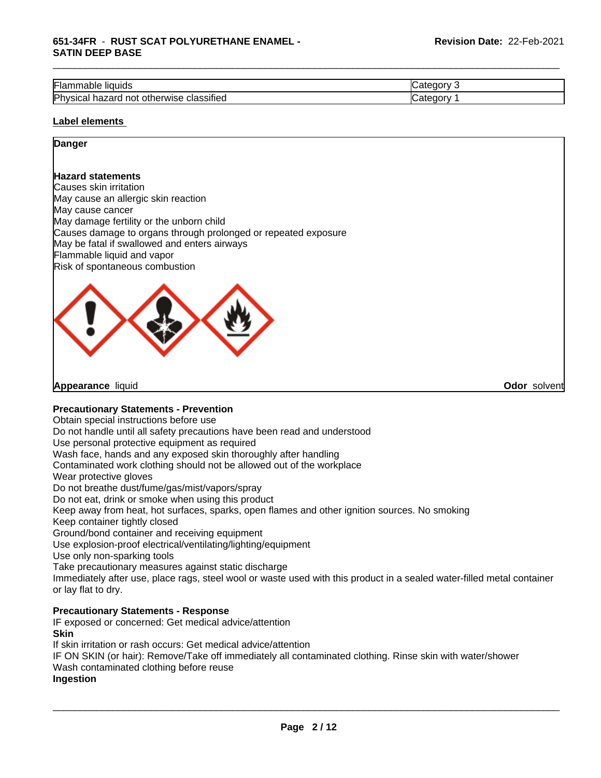| --<br>.,<br>` liauids<br>Flar<br>Table                                 | $-$<br>-16 |
|------------------------------------------------------------------------|------------|
| .<br>Physica<br>hazard<br>classified<br>herwise<br>not<br>otł<br>Sital | 10         |

\_\_\_\_\_\_\_\_\_\_\_\_\_\_\_\_\_\_\_\_\_\_\_\_\_\_\_\_\_\_\_\_\_\_\_\_\_\_\_\_\_\_\_\_\_\_\_\_\_\_\_\_\_\_\_\_\_\_\_\_\_\_\_\_\_\_\_\_\_\_\_\_\_\_\_\_\_\_\_\_\_\_\_\_\_\_\_\_\_\_\_\_\_

#### **Label elements**

# **Danger**

#### **Hazard statements**

Causes skin irritation May cause an allergic skin reaction May cause cancer May damage fertility or the unborn child Causes damage to organs through prolonged or repeated exposure May be fatal if swallowed and enters airways Flammable liquid and vapor Risk of spontaneous combustion



**Appearance** liquid **Odor** solvent

#### **Precautionary Statements - Prevention**

Obtain special instructions before use

Do not handle until all safety precautions have been read and understood

Use personal protective equipment as required

Wash face, hands and any exposed skin thoroughly after handling

Contaminated work clothing should not be allowed out of the workplace

Wear protective gloves

Do not breathe dust/fume/gas/mist/vapors/spray

Do not eat, drink or smoke when using this product

Keep away from heat, hot surfaces, sparks, open flames and other ignition sources. No smoking

Keep container tightly closed

Ground/bond container and receiving equipment

Use explosion-proof electrical/ventilating/lighting/equipment

Use only non-sparking tools

Take precautionary measures against static discharge

Immediately after use, place rags, steel wool or waste used with this product in a sealed water-filled metal container or lay flat to dry.

#### **Precautionary Statements - Response**

IF exposed or concerned: Get medical advice/attention **Skin**

If skin irritation or rash occurs: Get medical advice/attention

IF ON SKIN (or hair): Remove/Take off immediately all contaminated clothing. Rinse skin with water/shower

Wash contaminated clothing before reuse

#### **Ingestion**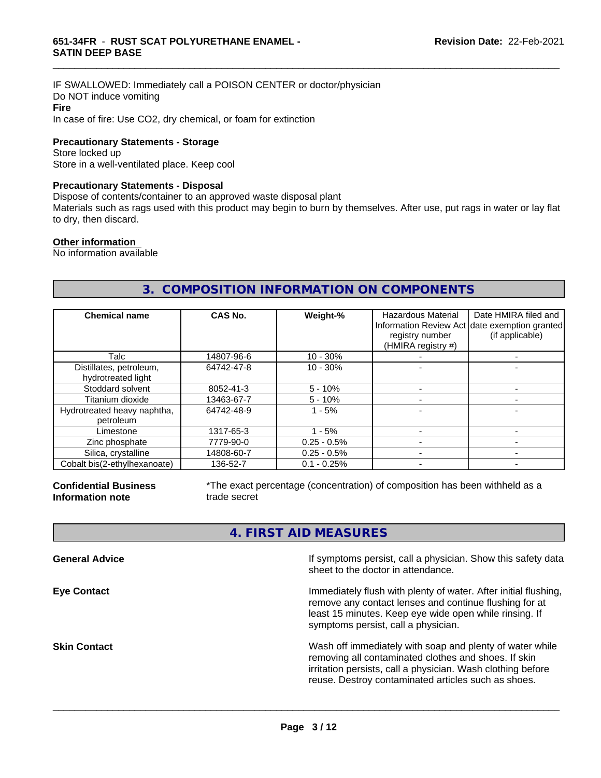IF SWALLOWED: Immediately call a POISON CENTER or doctor/physician Do NOT induce vomiting **Fire** In case of fire: Use CO2, dry chemical, or foam for extinction

**Precautionary Statements - Storage**

Store locked up Store in a well-ventilated place. Keep cool

#### **Precautionary Statements - Disposal**

Dispose of contents/container to an approved waste disposal plant

Materials such as rags used with this product may begin to burn by themselves. After use, put rags in water or lay flat to dry, then discard.

\_\_\_\_\_\_\_\_\_\_\_\_\_\_\_\_\_\_\_\_\_\_\_\_\_\_\_\_\_\_\_\_\_\_\_\_\_\_\_\_\_\_\_\_\_\_\_\_\_\_\_\_\_\_\_\_\_\_\_\_\_\_\_\_\_\_\_\_\_\_\_\_\_\_\_\_\_\_\_\_\_\_\_\_\_\_\_\_\_\_\_\_\_

#### **Other information**

No information available

# **3. COMPOSITION INFORMATION ON COMPONENTS**

| <b>Chemical name</b>                          | CAS No.    | Weight-%      | Hazardous Material<br>registry number<br>(HMIRA registry #) | Date HMIRA filed and<br>Information Review Act date exemption granted<br>(if applicable) |
|-----------------------------------------------|------------|---------------|-------------------------------------------------------------|------------------------------------------------------------------------------------------|
| Talc                                          | 14807-96-6 | $10 - 30%$    |                                                             |                                                                                          |
| Distillates, petroleum,<br>hydrotreated light | 64742-47-8 | $10 - 30%$    |                                                             |                                                                                          |
| Stoddard solvent                              | 8052-41-3  | $5 - 10%$     |                                                             |                                                                                          |
| Titanium dioxide                              | 13463-67-7 | $5 - 10%$     |                                                             |                                                                                          |
| Hydrotreated heavy naphtha,<br>petroleum      | 64742-48-9 | $1 - 5%$      |                                                             |                                                                                          |
| Limestone                                     | 1317-65-3  | $1 - 5%$      |                                                             |                                                                                          |
| Zinc phosphate                                | 7779-90-0  | $0.25 - 0.5%$ |                                                             |                                                                                          |
| Silica, crystalline                           | 14808-60-7 | $0.25 - 0.5%$ |                                                             |                                                                                          |
| Cobalt bis(2-ethylhexanoate)                  | 136-52-7   | $0.1 - 0.25%$ |                                                             |                                                                                          |

**Confidential Business Information note**

\*The exact percentage (concentration) of composition has been withheld as a trade secret

# **4. FIRST AID MEASURES**

| <b>General Advice</b> | If symptoms persist, call a physician. Show this safety data<br>sheet to the doctor in attendance.                                                                                                                                     |
|-----------------------|----------------------------------------------------------------------------------------------------------------------------------------------------------------------------------------------------------------------------------------|
| <b>Eye Contact</b>    | Immediately flush with plenty of water. After initial flushing,<br>remove any contact lenses and continue flushing for at<br>least 15 minutes. Keep eye wide open while rinsing. If<br>symptoms persist, call a physician.             |
| <b>Skin Contact</b>   | Wash off immediately with soap and plenty of water while<br>removing all contaminated clothes and shoes. If skin<br>irritation persists, call a physician. Wash clothing before<br>reuse. Destroy contaminated articles such as shoes. |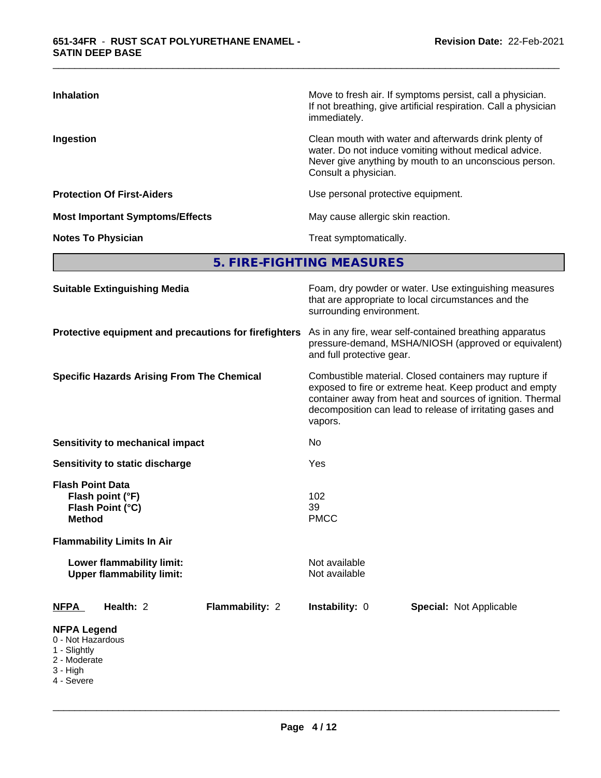| <b>Inhalation</b>                      | Move to fresh air. If symptoms persist, call a physician.<br>If not breathing, give artificial respiration. Call a physician<br>immediately.                                                     |
|----------------------------------------|--------------------------------------------------------------------------------------------------------------------------------------------------------------------------------------------------|
| Ingestion                              | Clean mouth with water and afterwards drink plenty of<br>water. Do not induce vomiting without medical advice.<br>Never give anything by mouth to an unconscious person.<br>Consult a physician. |
| <b>Protection Of First-Aiders</b>      | Use personal protective equipment.                                                                                                                                                               |
| <b>Most Important Symptoms/Effects</b> | May cause allergic skin reaction.                                                                                                                                                                |
| <b>Notes To Physician</b>              | Treat symptomatically.                                                                                                                                                                           |

\_\_\_\_\_\_\_\_\_\_\_\_\_\_\_\_\_\_\_\_\_\_\_\_\_\_\_\_\_\_\_\_\_\_\_\_\_\_\_\_\_\_\_\_\_\_\_\_\_\_\_\_\_\_\_\_\_\_\_\_\_\_\_\_\_\_\_\_\_\_\_\_\_\_\_\_\_\_\_\_\_\_\_\_\_\_\_\_\_\_\_\_\_

**5. FIRE-FIGHTING MEASURES**

| <b>Suitable Extinguishing Media</b>                                                                 | Foam, dry powder or water. Use extinguishing measures<br>that are appropriate to local circumstances and the<br>surrounding environment.                                                                                                               |  |  |  |
|-----------------------------------------------------------------------------------------------------|--------------------------------------------------------------------------------------------------------------------------------------------------------------------------------------------------------------------------------------------------------|--|--|--|
| Protective equipment and precautions for firefighters                                               | As in any fire, wear self-contained breathing apparatus<br>pressure-demand, MSHA/NIOSH (approved or equivalent)<br>and full protective gear.                                                                                                           |  |  |  |
| <b>Specific Hazards Arising From The Chemical</b>                                                   | Combustible material. Closed containers may rupture if<br>exposed to fire or extreme heat. Keep product and empty<br>container away from heat and sources of ignition. Thermal<br>decomposition can lead to release of irritating gases and<br>vapors. |  |  |  |
| <b>Sensitivity to mechanical impact</b>                                                             | No                                                                                                                                                                                                                                                     |  |  |  |
| Sensitivity to static discharge                                                                     | Yes                                                                                                                                                                                                                                                    |  |  |  |
| <b>Flash Point Data</b><br>Flash point (°F)<br>Flash Point (°C)<br><b>Method</b>                    | 102<br>39<br><b>PMCC</b>                                                                                                                                                                                                                               |  |  |  |
| <b>Flammability Limits In Air</b>                                                                   |                                                                                                                                                                                                                                                        |  |  |  |
| Lower flammability limit:<br><b>Upper flammability limit:</b>                                       | Not available<br>Not available                                                                                                                                                                                                                         |  |  |  |
| Health: 2<br>Flammability: 2<br><b>NFPA</b>                                                         | Instability: 0<br><b>Special: Not Applicable</b>                                                                                                                                                                                                       |  |  |  |
| <b>NFPA Legend</b><br>0 - Not Hazardous<br>1 - Slightly<br>2 - Moderate<br>$3 - High$<br>4 - Severe |                                                                                                                                                                                                                                                        |  |  |  |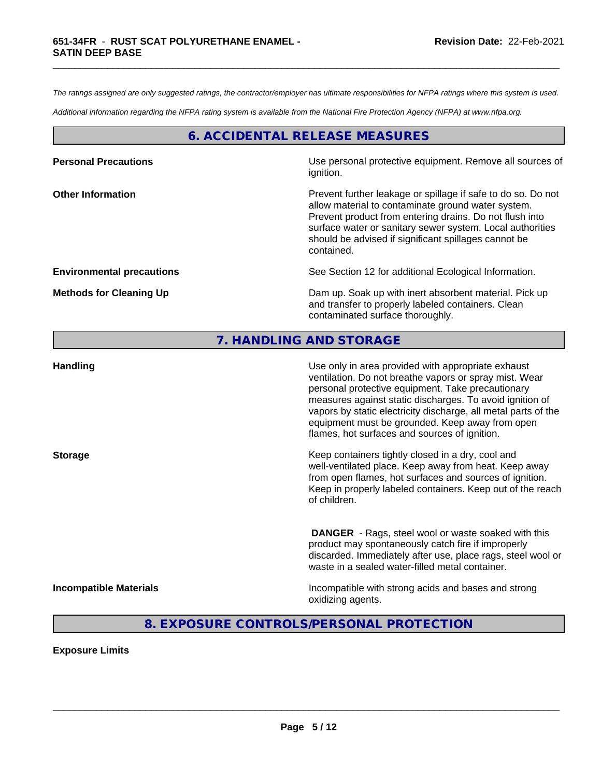*The ratings assigned are only suggested ratings, the contractor/employer has ultimate responsibilities for NFPA ratings where this system is used.*

\_\_\_\_\_\_\_\_\_\_\_\_\_\_\_\_\_\_\_\_\_\_\_\_\_\_\_\_\_\_\_\_\_\_\_\_\_\_\_\_\_\_\_\_\_\_\_\_\_\_\_\_\_\_\_\_\_\_\_\_\_\_\_\_\_\_\_\_\_\_\_\_\_\_\_\_\_\_\_\_\_\_\_\_\_\_\_\_\_\_\_\_\_

*Additional information regarding the NFPA rating system is available from the National Fire Protection Agency (NFPA) at www.nfpa.org.*

# **6. ACCIDENTAL RELEASE MEASURES**

| <b>Personal Precautions</b>      | Use personal protective equipment. Remove all sources of<br>ignition.                                                                                                                                                                                                                                            |
|----------------------------------|------------------------------------------------------------------------------------------------------------------------------------------------------------------------------------------------------------------------------------------------------------------------------------------------------------------|
| <b>Other Information</b>         | Prevent further leakage or spillage if safe to do so. Do not<br>allow material to contaminate ground water system.<br>Prevent product from entering drains. Do not flush into<br>surface water or sanitary sewer system. Local authorities<br>should be advised if significant spillages cannot be<br>contained. |
| <b>Environmental precautions</b> | See Section 12 for additional Ecological Information.                                                                                                                                                                                                                                                            |
| <b>Methods for Cleaning Up</b>   | Dam up. Soak up with inert absorbent material. Pick up<br>and transfer to properly labeled containers. Clean<br>contaminated surface thoroughly.                                                                                                                                                                 |

# **7. HANDLING AND STORAGE**

| <b>Handling</b>               | Use only in area provided with appropriate exhaust<br>ventilation. Do not breathe vapors or spray mist. Wear<br>personal protective equipment. Take precautionary<br>measures against static discharges. To avoid ignition of<br>vapors by static electricity discharge, all metal parts of the<br>equipment must be grounded. Keep away from open<br>flames, hot surfaces and sources of ignition. |
|-------------------------------|-----------------------------------------------------------------------------------------------------------------------------------------------------------------------------------------------------------------------------------------------------------------------------------------------------------------------------------------------------------------------------------------------------|
| <b>Storage</b>                | Keep containers tightly closed in a dry, cool and<br>well-ventilated place. Keep away from heat. Keep away<br>from open flames, hot surfaces and sources of ignition.<br>Keep in properly labeled containers. Keep out of the reach<br>of children.                                                                                                                                                 |
|                               | <b>DANGER</b> - Rags, steel wool or waste soaked with this<br>product may spontaneously catch fire if improperly<br>discarded. Immediately after use, place rags, steel wool or<br>waste in a sealed water-filled metal container.                                                                                                                                                                  |
| <b>Incompatible Materials</b> | Incompatible with strong acids and bases and strong<br>oxidizing agents.                                                                                                                                                                                                                                                                                                                            |

# **8. EXPOSURE CONTROLS/PERSONAL PROTECTION**

**Exposure Limits**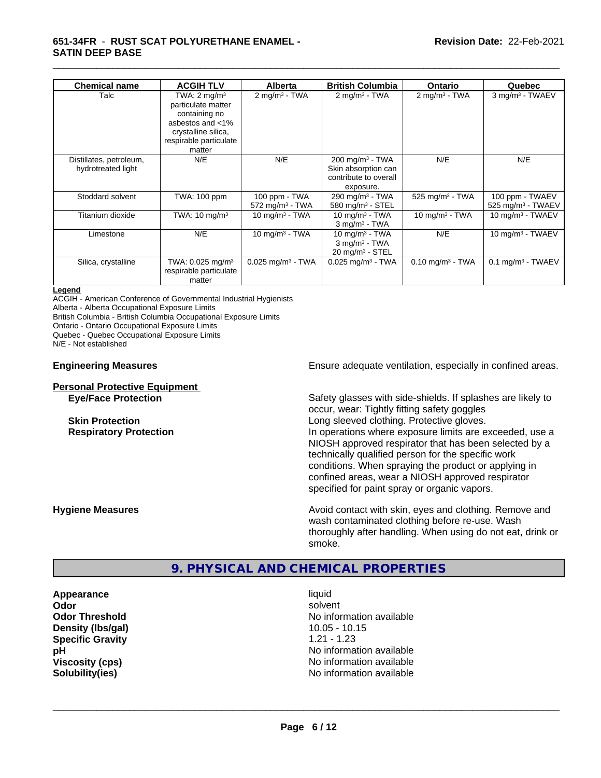#### **651-34FR** - **RUST SCAT POLYURETHANE ENAMEL - SATIN DEEP BASE**

| <b>Chemical name</b>                          | <b>ACGIH TLV</b>                                                                                                                              | <b>Alberta</b>                                 | <b>British Columbia</b>                                                                    | <b>Ontario</b>                 | Quebec                                             |
|-----------------------------------------------|-----------------------------------------------------------------------------------------------------------------------------------------------|------------------------------------------------|--------------------------------------------------------------------------------------------|--------------------------------|----------------------------------------------------|
| Talc                                          | TWA: $2 \text{ mq/m}^3$<br>particulate matter<br>containing no<br>asbestos and <1%<br>crystalline silica,<br>respirable particulate<br>matter | $2 \text{ mg/m}^3$ - TWA                       | $2 \text{ mg/m}^3$ - TWA                                                                   | 2 mg/m <sup>3</sup> - TWA      | 3 mg/m <sup>3</sup> - TWAEV                        |
| Distillates, petroleum,<br>hydrotreated light | N/E                                                                                                                                           | N/E                                            | $200$ mg/m <sup>3</sup> - TWA<br>Skin absorption can<br>contribute to overall<br>exposure. | N/E                            | N/E                                                |
| Stoddard solvent                              | TWA: 100 ppm                                                                                                                                  | 100 ppm - TWA<br>$572$ mg/m <sup>3</sup> - TWA | $290 \text{ mg/m}^3$ - TWA<br>580 mg/m $3 -$ STEL                                          | $525 \text{ mg/m}^3$ - TWA     | 100 ppm - TWAEV<br>$525$ mg/m <sup>3</sup> - TWAEV |
| Titanium dioxide                              | TWA: $10 \text{ mg/m}^3$                                                                                                                      | 10 mg/m $3$ - TWA                              | 10 mg/m $3$ - TWA<br>$3$ mg/m <sup>3</sup> - TWA                                           | 10 mg/m $3$ - TWA              | 10 mg/m $3$ - TWAEV                                |
| Limestone                                     | N/E                                                                                                                                           | 10 mg/m $3$ - TWA                              | 10 mg/m $3$ - TWA<br>$3$ mg/m <sup>3</sup> - TWA<br>$20$ mg/m <sup>3</sup> - STEL          | N/E                            | 10 mg/m $3$ - TWAEV                                |
| Silica, crystalline                           | TWA: $0.025$ mg/m <sup>3</sup><br>respirable particulate<br>matter                                                                            | $0.025$ mg/m <sup>3</sup> - TWA                | $0.025$ mg/m <sup>3</sup> - TWA                                                            | $0.10$ mg/m <sup>3</sup> - TWA | $0.1$ mg/m <sup>3</sup> - TWAEV                    |

\_\_\_\_\_\_\_\_\_\_\_\_\_\_\_\_\_\_\_\_\_\_\_\_\_\_\_\_\_\_\_\_\_\_\_\_\_\_\_\_\_\_\_\_\_\_\_\_\_\_\_\_\_\_\_\_\_\_\_\_\_\_\_\_\_\_\_\_\_\_\_\_\_\_\_\_\_\_\_\_\_\_\_\_\_\_\_\_\_\_\_\_\_

#### **Legend**

ACGIH - American Conference of Governmental Industrial Hygienists Alberta - Alberta Occupational Exposure Limits

British Columbia - British Columbia Occupational Exposure Limits

Ontario - Ontario Occupational Exposure Limits

Quebec - Quebec Occupational Exposure Limits

N/E - Not established

#### **Personal Protective Equipment**

**Engineering Measures Ensure** Ensure adequate ventilation, especially in confined areas.

**Eye/Face Protection** Safety glasses with side-shields. If splashes are likely to occur, wear: Tightly fitting safety goggles **Skin Protection Skin Protection Long sleeved clothing. Protective gloves. Respiratory Protection In operations where exposure limits are exceeded, use a** NIOSH approved respirator that has been selected by a technically qualified person for the specific work conditions. When spraying the product or applying in confined areas, wear a NIOSH approved respirator specified for paint spray or organic vapors.

**Hygiene Measures Avoid contact with skin, eyes and clothing. Remove and Hygiene Measures Avoid contact with skin, eyes and clothing. Remove and** wash contaminated clothing before re-use. Wash thoroughly after handling. When using do not eat, drink or smoke.

# **9. PHYSICAL AND CHEMICAL PROPERTIES**

**Appearance** liquid **Density (lbs/gal)** 10.05 - 10.15 **Specific Gravity** 1.21 - 1.23

**Odor** solvent **Odor Threshold No information available No information available pH pH**  $\blacksquare$ **Viscosity (cps)** No information available **Solubility(ies)** No information available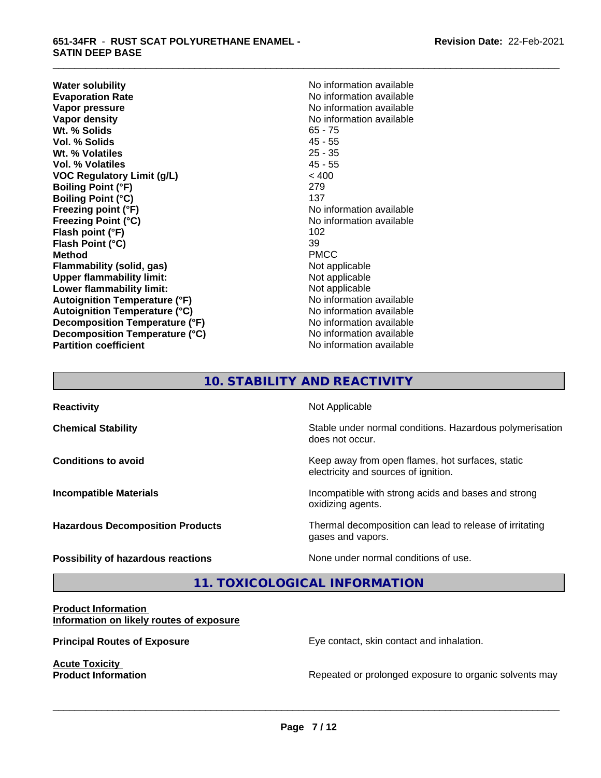**Water solubility**<br> **Evaporation Rate**<br> **Evaporation Rate**<br> **Evaporation Rate Evaporation Rate Evaporation Rate** No information available<br> **Vapor pressure** No information available **Vapor density**<br> **We Solids**<br>
We Solids
2019 Wt. % Solids **Vol. % Solids** 45 - 55 **Wt. % Volatiles** 25 - 35 **Vol. % Volatiles** 45 - 55 **VOC Regulatory Limit (g/L)** < 400 **Boiling Point (°F)** 279 **Boiling Point (°C)** 137 **Freezing point (°F)** No information available **Freezing Point (°C)**<br> **Flash point (°F)**<br> **Flash point (°F)**<br> **Plash point (°F) Flash point (°F) Flash Point (°C)** 39 **Method** PMCC **Flammability (solid, gas)** Not applicable **Upper flammability limit:** Not applicable **Lower flammability limit:**<br> **Autoignition Temperature (°F)** Not applicable Not applicable **Autoignition Temperature (°F) Autoignition Temperature (°C)** No information available **Decomposition Temperature (°F)** No information available **Decomposition Temperature (°C)** No information available **Partition coefficient** No information available

**No information available** 

\_\_\_\_\_\_\_\_\_\_\_\_\_\_\_\_\_\_\_\_\_\_\_\_\_\_\_\_\_\_\_\_\_\_\_\_\_\_\_\_\_\_\_\_\_\_\_\_\_\_\_\_\_\_\_\_\_\_\_\_\_\_\_\_\_\_\_\_\_\_\_\_\_\_\_\_\_\_\_\_\_\_\_\_\_\_\_\_\_\_\_\_\_

# **10. STABILITY AND REACTIVITY**

| <b>Reactivity</b>                       | Not Applicable                                                                           |
|-----------------------------------------|------------------------------------------------------------------------------------------|
| <b>Chemical Stability</b>               | Stable under normal conditions. Hazardous polymerisation<br>does not occur.              |
| <b>Conditions to avoid</b>              | Keep away from open flames, hot surfaces, static<br>electricity and sources of ignition. |
| <b>Incompatible Materials</b>           | Incompatible with strong acids and bases and strong<br>oxidizing agents.                 |
| <b>Hazardous Decomposition Products</b> | Thermal decomposition can lead to release of irritating<br>gases and vapors.             |
| Possibility of hazardous reactions      | None under normal conditions of use.                                                     |

**11. TOXICOLOGICAL INFORMATION**

#### **Product Information Information on likely routes of exposure**

**Acute Toxicity<br>Product Information** 

**Principal Routes of Exposure Exposure** Eye contact, skin contact and inhalation.

 $\overline{\phantom{a}}$  ,  $\overline{\phantom{a}}$  ,  $\overline{\phantom{a}}$  ,  $\overline{\phantom{a}}$  ,  $\overline{\phantom{a}}$  ,  $\overline{\phantom{a}}$  ,  $\overline{\phantom{a}}$  ,  $\overline{\phantom{a}}$  ,  $\overline{\phantom{a}}$  ,  $\overline{\phantom{a}}$  ,  $\overline{\phantom{a}}$  ,  $\overline{\phantom{a}}$  ,  $\overline{\phantom{a}}$  ,  $\overline{\phantom{a}}$  ,  $\overline{\phantom{a}}$  ,  $\overline{\phantom{a}}$ 

Repeated or prolonged exposure to organic solvents may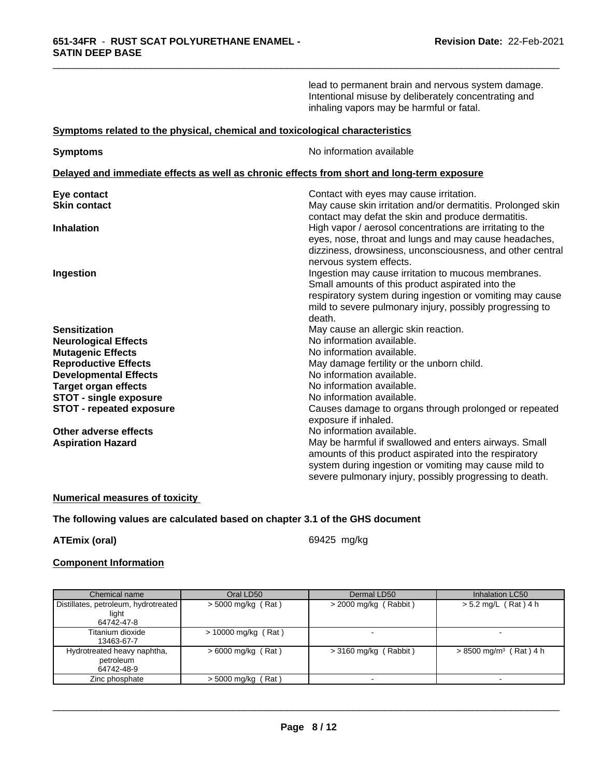|                                                                              | lead to permanent brain and nervous system damage.<br>Intentional misuse by deliberately concentrating and<br>inhaling vapors may be harmful or fatal.                                                                                     |
|------------------------------------------------------------------------------|--------------------------------------------------------------------------------------------------------------------------------------------------------------------------------------------------------------------------------------------|
| Symptoms related to the physical, chemical and toxicological characteristics |                                                                                                                                                                                                                                            |
| <b>Symptoms</b>                                                              | No information available                                                                                                                                                                                                                   |
|                                                                              | Delayed and immediate effects as well as chronic effects from short and long-term exposure                                                                                                                                                 |
| Eye contact                                                                  | Contact with eyes may cause irritation.                                                                                                                                                                                                    |
| <b>Skin contact</b>                                                          | May cause skin irritation and/or dermatitis. Prolonged skin<br>contact may defat the skin and produce dermatitis.                                                                                                                          |
| <b>Inhalation</b>                                                            | High vapor / aerosol concentrations are irritating to the<br>eyes, nose, throat and lungs and may cause headaches,<br>dizziness, drowsiness, unconsciousness, and other central<br>nervous system effects.                                 |
| Ingestion                                                                    | Ingestion may cause irritation to mucous membranes.<br>Small amounts of this product aspirated into the<br>respiratory system during ingestion or vomiting may cause<br>mild to severe pulmonary injury, possibly progressing to<br>death. |
| <b>Sensitization</b>                                                         | May cause an allergic skin reaction.                                                                                                                                                                                                       |
| <b>Neurological Effects</b>                                                  | No information available.                                                                                                                                                                                                                  |
| <b>Mutagenic Effects</b>                                                     | No information available.                                                                                                                                                                                                                  |
| <b>Reproductive Effects</b>                                                  | May damage fertility or the unborn child.                                                                                                                                                                                                  |
| <b>Developmental Effects</b>                                                 | No information available.                                                                                                                                                                                                                  |
| <b>Target organ effects</b>                                                  | No information available.                                                                                                                                                                                                                  |
| <b>STOT - single exposure</b>                                                | No information available.                                                                                                                                                                                                                  |
| <b>STOT - repeated exposure</b>                                              | Causes damage to organs through prolonged or repeated<br>exposure if inhaled.                                                                                                                                                              |
| Other adverse effects                                                        | No information available.                                                                                                                                                                                                                  |
| <b>Aspiration Hazard</b>                                                     | May be harmful if swallowed and enters airways. Small<br>amounts of this product aspirated into the respiratory                                                                                                                            |
|                                                                              | system during ingestion or vomiting may cause mild to<br>severe pulmonary injury, possibly progressing to death.                                                                                                                           |

\_\_\_\_\_\_\_\_\_\_\_\_\_\_\_\_\_\_\_\_\_\_\_\_\_\_\_\_\_\_\_\_\_\_\_\_\_\_\_\_\_\_\_\_\_\_\_\_\_\_\_\_\_\_\_\_\_\_\_\_\_\_\_\_\_\_\_\_\_\_\_\_\_\_\_\_\_\_\_\_\_\_\_\_\_\_\_\_\_\_\_\_\_

## **Numerical measures of toxicity**

# **The following values are calculated based on chapter 3.1 of the GHS document**

**ATEmix (oral)** 69425 mg/kg

 $\overline{\phantom{a}}$  ,  $\overline{\phantom{a}}$  ,  $\overline{\phantom{a}}$  ,  $\overline{\phantom{a}}$  ,  $\overline{\phantom{a}}$  ,  $\overline{\phantom{a}}$  ,  $\overline{\phantom{a}}$  ,  $\overline{\phantom{a}}$  ,  $\overline{\phantom{a}}$  ,  $\overline{\phantom{a}}$  ,  $\overline{\phantom{a}}$  ,  $\overline{\phantom{a}}$  ,  $\overline{\phantom{a}}$  ,  $\overline{\phantom{a}}$  ,  $\overline{\phantom{a}}$  ,  $\overline{\phantom{a}}$ 

#### **Component Information**

| Chemical name                        | Oral LD50             | Dermal LD50             | Inhalation LC50                      |
|--------------------------------------|-----------------------|-------------------------|--------------------------------------|
| Distillates, petroleum, hydrotreated | $>$ 5000 mg/kg (Rat)  | $>$ 2000 mg/kg (Rabbit) | $> 5.2$ mg/L (Rat) 4 h               |
| light                                |                       |                         |                                      |
| 64742-47-8                           |                       |                         |                                      |
| Titanium dioxide                     | $> 10000$ mg/kg (Rat) |                         |                                      |
| 13463-67-7                           |                       |                         |                                      |
| Hydrotreated heavy naphtha,          | $> 6000$ mg/kg (Rat)  | $>$ 3160 mg/kg (Rabbit) | $> 8500$ mg/m <sup>3</sup> (Rat) 4 h |
| petroleum                            |                       |                         |                                      |
| 64742-48-9                           |                       |                         |                                      |
| Zinc phosphate                       | $>$ 5000 mg/kg (Rat)  |                         |                                      |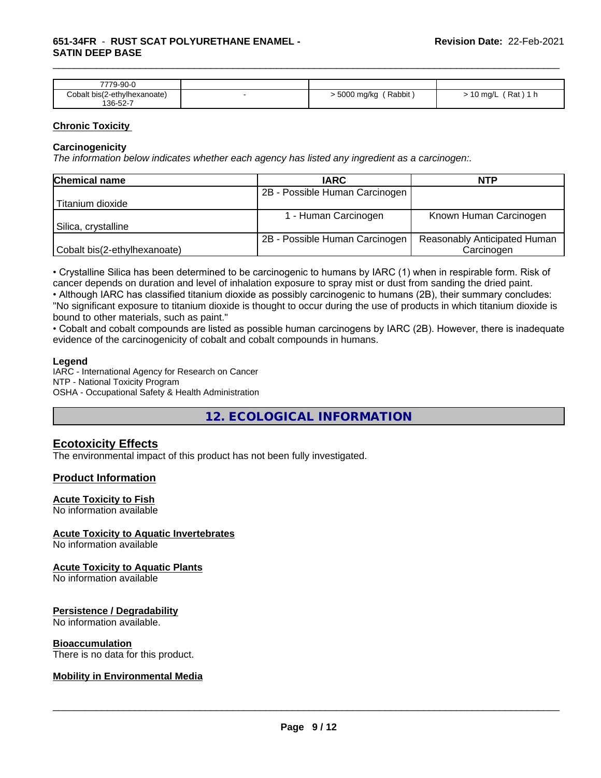#### **651-34FR** - **RUST SCAT POLYURETHANE ENAMEL - SATIN DEEP BASE**

| 7779-90-0                    |                           |                           |
|------------------------------|---------------------------|---------------------------|
| Cobalt bis(2-ethylhexanoate) | Rabbit<br>5000 mg/kg<br>. | Rat,<br>10 mg/L<br>.<br>ີ |
| 136-52-7                     |                           |                           |

\_\_\_\_\_\_\_\_\_\_\_\_\_\_\_\_\_\_\_\_\_\_\_\_\_\_\_\_\_\_\_\_\_\_\_\_\_\_\_\_\_\_\_\_\_\_\_\_\_\_\_\_\_\_\_\_\_\_\_\_\_\_\_\_\_\_\_\_\_\_\_\_\_\_\_\_\_\_\_\_\_\_\_\_\_\_\_\_\_\_\_\_\_

#### **Chronic Toxicity**

#### **Carcinogenicity**

*The information below indicateswhether each agency has listed any ingredient as a carcinogen:.*

| <b>Chemical name</b>         | <b>IARC</b>                    | <b>NTP</b>                   |
|------------------------------|--------------------------------|------------------------------|
|                              | 2B - Possible Human Carcinogen |                              |
| Titanium dioxide             |                                |                              |
|                              | - Human Carcinogen             | Known Human Carcinogen       |
| Silica, crystalline          |                                |                              |
|                              | 2B - Possible Human Carcinogen | Reasonably Anticipated Human |
| Cobalt bis(2-ethylhexanoate) |                                | Carcinogen                   |

• Crystalline Silica has been determined to be carcinogenic to humans by IARC (1) when in respirable form. Risk of cancer depends on duration and level of inhalation exposure to spray mist or dust from sanding the dried paint.

• Although IARC has classified titanium dioxide as possibly carcinogenic to humans (2B), their summary concludes: "No significant exposure to titanium dioxide is thought to occur during the use of products in which titanium dioxide is bound to other materials, such as paint."

• Cobalt and cobalt compounds are listed as possible human carcinogens by IARC (2B). However, there is inadequate evidence of the carcinogenicity of cobalt and cobalt compounds in humans.

#### **Legend**

IARC - International Agency for Research on Cancer NTP - National Toxicity Program OSHA - Occupational Safety & Health Administration

**12. ECOLOGICAL INFORMATION**

# **Ecotoxicity Effects**

The environmental impact of this product has not been fully investigated.

### **Product Information**

#### **Acute Toxicity to Fish**

No information available

#### **Acute Toxicity to Aquatic Invertebrates**

No information available

#### **Acute Toxicity to Aquatic Plants**

No information available

#### **Persistence / Degradability**

No information available.

#### **Bioaccumulation**

There is no data for this product.

### **Mobility in Environmental Media**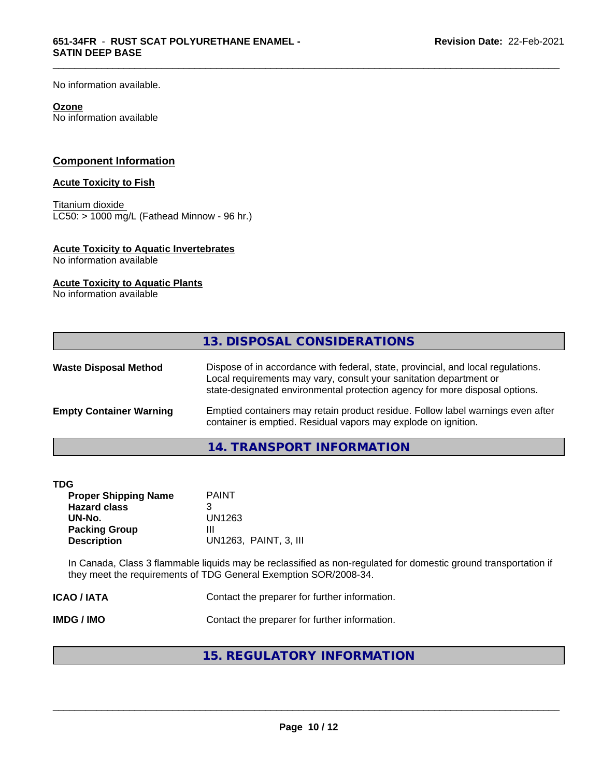No information available.

#### **Ozone**

No information available

### **Component Information**

#### **Acute Toxicity to Fish**

Titanium dioxide  $LC50: > 1000$  mg/L (Fathead Minnow - 96 hr.)

#### **Acute Toxicity to Aquatic Invertebrates**

No information available

#### **Acute Toxicity to Aquatic Plants**

No information available

| Dispose of in accordance with federal, state, provincial, and local regulations.<br>Local requirements may vary, consult your sanitation department or<br>state-designated environmental protection agency for more disposal options. |                              | 13. DISPOSAL CONSIDERATIONS                                                     |
|---------------------------------------------------------------------------------------------------------------------------------------------------------------------------------------------------------------------------------------|------------------------------|---------------------------------------------------------------------------------|
|                                                                                                                                                                                                                                       | <b>Waste Disposal Method</b> |                                                                                 |
| <b>Empty Container Warning</b><br>container is emptied. Residual vapors may explode on ignition.                                                                                                                                      |                              | Emptied containers may retain product residue. Follow label warnings even after |

\_\_\_\_\_\_\_\_\_\_\_\_\_\_\_\_\_\_\_\_\_\_\_\_\_\_\_\_\_\_\_\_\_\_\_\_\_\_\_\_\_\_\_\_\_\_\_\_\_\_\_\_\_\_\_\_\_\_\_\_\_\_\_\_\_\_\_\_\_\_\_\_\_\_\_\_\_\_\_\_\_\_\_\_\_\_\_\_\_\_\_\_\_

#### **14. TRANSPORT INFORMATION**

| <b>TDG</b><br><b>Proper Shipping Name</b><br><b>Hazard class</b><br>UN-No.<br><b>Packing Group</b><br><b>Description</b> | <b>PAINT</b><br>3<br>UN1263<br>Ш<br>UN1263, PAINT, 3, III                                                                                                                           |  |
|--------------------------------------------------------------------------------------------------------------------------|-------------------------------------------------------------------------------------------------------------------------------------------------------------------------------------|--|
|                                                                                                                          | In Canada, Class 3 flammable liquids may be reclassified as non-regulated for domestic ground transportation if<br>they meet the requirements of TDG General Exemption SOR/2008-34. |  |
| <b>ICAO/IATA</b>                                                                                                         | Contact the preparer for further information.                                                                                                                                       |  |
| <b>IMDG/IMO</b>                                                                                                          | Contact the preparer for further information.                                                                                                                                       |  |
|                                                                                                                          | 15. REGULATORY INFORMATION                                                                                                                                                          |  |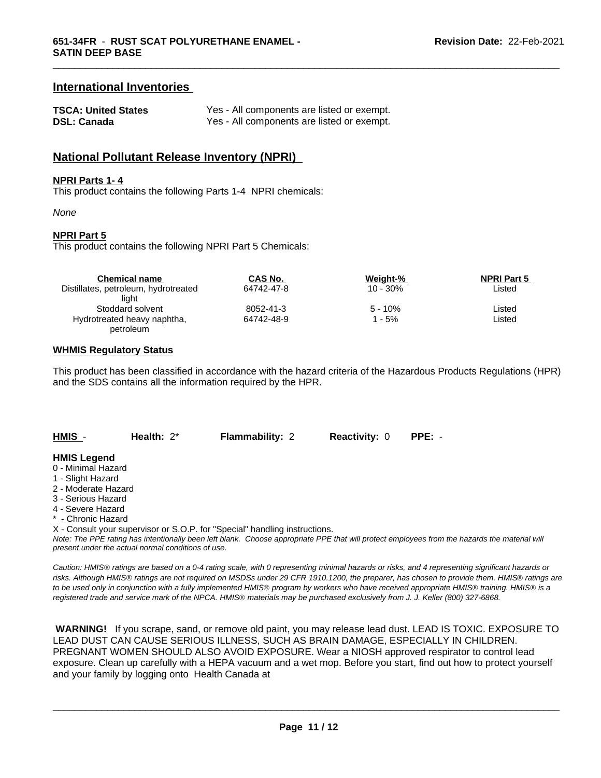## **International Inventories**

| <b>TSCA: United States</b> | Yes - All components are listed or exempt. |
|----------------------------|--------------------------------------------|
| <b>DSL: Canada</b>         | Yes - All components are listed or exempt. |

# **National Pollutant Release Inventory (NPRI)**

#### **NPRI Parts 1- 4**

This product contains the following Parts 1-4 NPRI chemicals:

*None*

#### **NPRI Part 5**

This product contains the following NPRI Part 5 Chemicals:

| <b>Chemical name</b>                 | CAS No.    | Weight-%    | <b>NPRI Part 5</b> |  |
|--------------------------------------|------------|-------------|--------------------|--|
| Distillates, petroleum, hydrotreated | 64742-47-8 | $10 - 30\%$ | Listed             |  |
| light                                |            |             |                    |  |
| Stoddard solvent                     | 8052-41-3  | $5 - 10%$   | Listed             |  |
| Hydrotreated heavy naphtha,          | 64742-48-9 | - 5%        | Listed             |  |
| petroleum                            |            |             |                    |  |

#### **WHMIS Regulatory Status**

This product has been classified in accordance with the hazard criteria of the Hazardous Products Regulations (HPR) and the SDS contains all the information required by the HPR.

**HMIS** - **Health:** 2\* **Flammability:** 2 **Reactivity:** 0 **PPE:** -

#### **HMIS Legend**

- 0 Minimal Hazard
- 1 Slight Hazard
- 2 Moderate Hazard
- 3 Serious Hazard
- 4 Severe Hazard
- **Chronic Hazard**
- X Consult your supervisor or S.O.P. for "Special" handling instructions.

*Note: The PPE rating has intentionally been left blank. Choose appropriate PPE that will protect employees from the hazards the material will present under the actual normal conditions of use.*

*Caution: HMISÒ ratings are based on a 0-4 rating scale, with 0 representing minimal hazards or risks, and 4 representing significant hazards or risks. Although HMISÒ ratings are not required on MSDSs under 29 CFR 1910.1200, the preparer, has chosen to provide them. HMISÒ ratings are to be used only in conjunction with a fully implemented HMISÒ program by workers who have received appropriate HMISÒ training. HMISÒ is a registered trade and service mark of the NPCA. HMISÒ materials may be purchased exclusively from J. J. Keller (800) 327-6868.*

 **WARNING!** If you scrape, sand, or remove old paint, you may release lead dust. LEAD IS TOXIC. EXPOSURE TO LEAD DUST CAN CAUSE SERIOUS ILLNESS, SUCH AS BRAIN DAMAGE, ESPECIALLY IN CHILDREN. PREGNANT WOMEN SHOULD ALSO AVOID EXPOSURE.Wear a NIOSH approved respirator to control lead exposure. Clean up carefully with a HEPA vacuum and a wet mop. Before you start, find out how to protect yourself and your family by logging onto Health Canada at